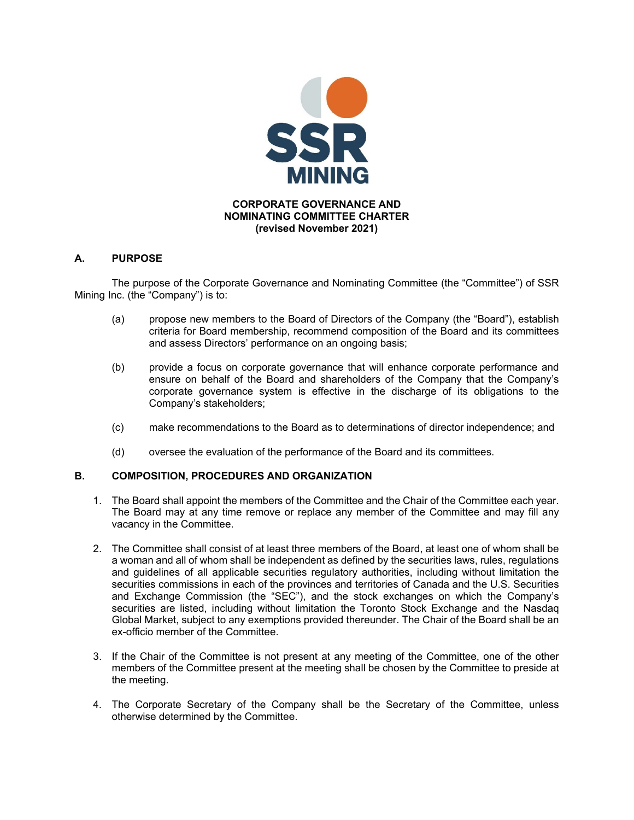

## **A. PURPOSE**

 The purpose of the Corporate Governance and Nominating Committee (the "Committee") of SSR Mining Inc. (the "Company") is to:

- (a) propose new members to the Board of Directors of the Company (the "Board"), establish criteria for Board membership, recommend composition of the Board and its committees and assess Directors' performance on an ongoing basis;
- (b) provide a focus on corporate governance that will enhance corporate performance and ensure on behalf of the Board and shareholders of the Company that the Company's corporate governance system is effective in the discharge of its obligations to the Company's stakeholders;
- (c) make recommendations to the Board as to determinations of director independence; and
- (d) oversee the evaluation of the performance of the Board and its committees.

## **B. COMPOSITION, PROCEDURES AND ORGANIZATION**

- 1. The Board shall appoint the members of the Committee and the Chair of the Committee each year. The Board may at any time remove or replace any member of the Committee and may fill any vacancy in the Committee.
- 2. The Committee shall consist of at least three members of the Board, at least one of whom shall be a woman and all of whom shall be independent as defined by the securities laws, rules, regulations and guidelines of all applicable securities regulatory authorities, including without limitation the securities commissions in each of the provinces and territories of Canada and the U.S. Securities and Exchange Commission (the "SEC"), and the stock exchanges on which the Company's securities are listed, including without limitation the Toronto Stock Exchange and the Nasdaq Global Market, subject to any exemptions provided thereunder. The Chair of the Board shall be an ex-officio member of the Committee.
- 3. If the Chair of the Committee is not present at any meeting of the Committee, one of the other members of the Committee present at the meeting shall be chosen by the Committee to preside at the meeting.
- 4. The Corporate Secretary of the Company shall be the Secretary of the Committee, unless otherwise determined by the Committee.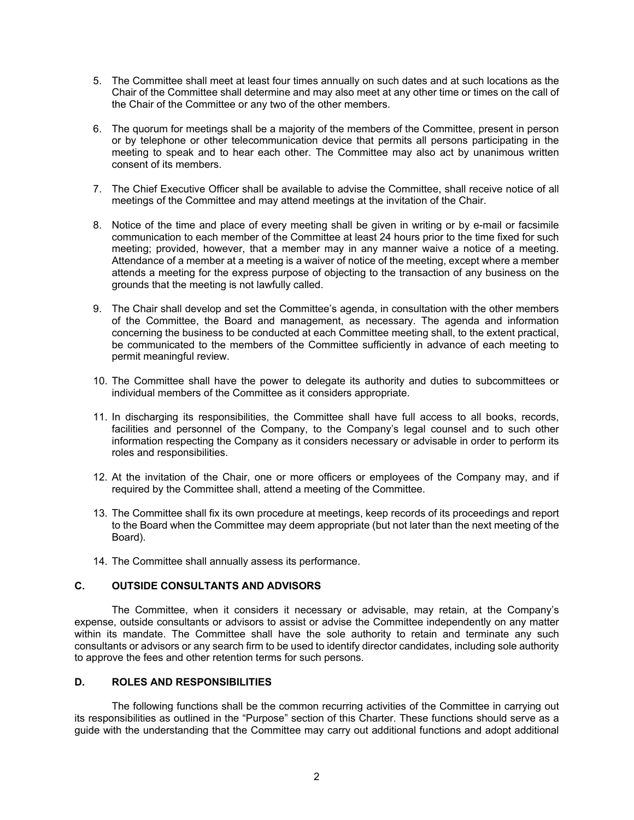- 5. The Committee shall meet at least four times annually on such dates and at such locations as the Chair of the Committee shall determine and may also meet at any other time or times on the call of the Chair of the Committee or any two of the other members.
- 6. The quorum for meetings shall be a majority of the members of the Committee, present in person or by telephone or other telecommunication device that permits all persons participating in the meeting to speak and to hear each other. The Committee may also act by unanimous written consent of its members.
- 7. The Chief Executive Officer shall be available to advise the Committee, shall receive notice of all meetings of the Committee and may attend meetings at the invitation of the Chair.
- 8. Notice of the time and place of every meeting shall be given in writing or by e-mail or facsimile communication to each member of the Committee at least 24 hours prior to the time fixed for such meeting; provided, however, that a member may in any manner waive a notice of a meeting. Attendance of a member at a meeting is a waiver of notice of the meeting, except where a member attends a meeting for the express purpose of objecting to the transaction of any business on the grounds that the meeting is not lawfully called.
- 9. The Chair shall develop and set the Committee's agenda, in consultation with the other members of the Committee, the Board and management, as necessary. The agenda and information concerning the business to be conducted at each Committee meeting shall, to the extent practical, be communicated to the members of the Committee sufficiently in advance of each meeting to permit meaningful review.
- 10. The Committee shall have the power to delegate its authority and duties to subcommittees or individual members of the Committee as it considers appropriate.
- 11. In discharging its responsibilities, the Committee shall have full access to all books, records, facilities and personnel of the Company, to the Company's legal counsel and to such other information respecting the Company as it considers necessary or advisable in order to perform its roles and responsibilities.
- 12. At the invitation of the Chair, one or more officers or employees of the Company may, and if required by the Committee shall, attend a meeting of the Committee.
- 13. The Committee shall fix its own procedure at meetings, keep records of its proceedings and report to the Board when the Committee may deem appropriate (but not later than the next meeting of the Board).
- 14. The Committee shall annually assess its performance.

### **C. OUTSIDE CONSULTANTS AND ADVISORS**

The Committee, when it considers it necessary or advisable, may retain, at the Company's expense, outside consultants or advisors to assist or advise the Committee independently on any matter within its mandate. The Committee shall have the sole authority to retain and terminate any such consultants or advisors or any search firm to be used to identify director candidates, including sole authority to approve the fees and other retention terms for such persons.

### **D. ROLES AND RESPONSIBILITIES**

 The following functions shall be the common recurring activities of the Committee in carrying out its responsibilities as outlined in the "Purpose" section of this Charter. These functions should serve as a guide with the understanding that the Committee may carry out additional functions and adopt additional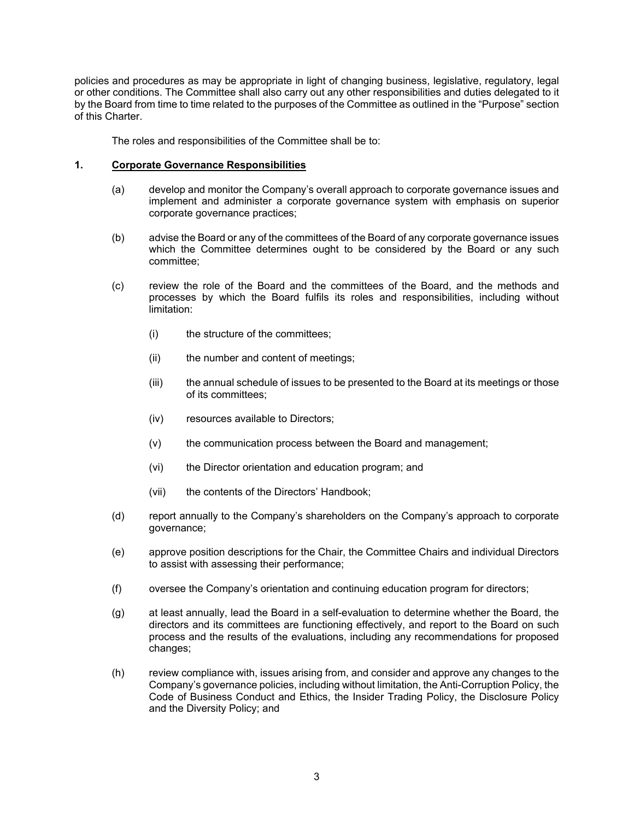policies and procedures as may be appropriate in light of changing business, legislative, regulatory, legal or other conditions. The Committee shall also carry out any other responsibilities and duties delegated to it by the Board from time to time related to the purposes of the Committee as outlined in the "Purpose" section of this Charter.

The roles and responsibilities of the Committee shall be to:

## **1. Corporate Governance Responsibilities**

- (a) develop and monitor the Company's overall approach to corporate governance issues and implement and administer a corporate governance system with emphasis on superior corporate governance practices;
- (b) advise the Board or any of the committees of the Board of any corporate governance issues which the Committee determines ought to be considered by the Board or any such committee;
- (c) review the role of the Board and the committees of the Board, and the methods and processes by which the Board fulfils its roles and responsibilities, including without limitation:
	- (i) the structure of the committees;
	- (ii) the number and content of meetings;
	- (iii) the annual schedule of issues to be presented to the Board at its meetings or those of its committees;
	- (iv) resources available to Directors;
	- (v) the communication process between the Board and management;
	- (vi) the Director orientation and education program; and
	- (vii) the contents of the Directors' Handbook;
- (d) report annually to the Company's shareholders on the Company's approach to corporate governance;
- (e) approve position descriptions for the Chair, the Committee Chairs and individual Directors to assist with assessing their performance;
- (f) oversee the Company's orientation and continuing education program for directors;
- (g) at least annually, lead the Board in a self-evaluation to determine whether the Board, the directors and its committees are functioning effectively, and report to the Board on such process and the results of the evaluations, including any recommendations for proposed changes;
- (h) review compliance with, issues arising from, and consider and approve any changes to the Company's governance policies, including without limitation, the Anti-Corruption Policy, the Code of Business Conduct and Ethics, the Insider Trading Policy, the Disclosure Policy and the Diversity Policy; and